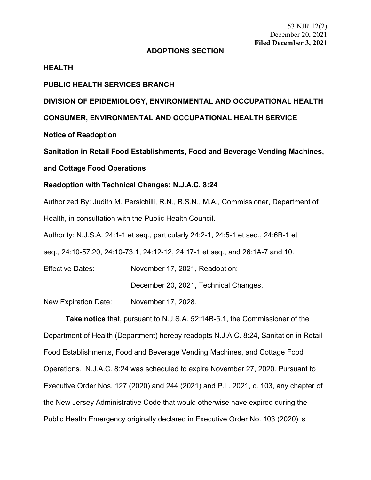53 NJR 12(2) December 20, 2021 **Filed December 3, 2021**

#### **ADOPTIONS SECTION**

#### **HEALTH**

#### **PUBLIC HEALTH SERVICES BRANCH**

## **DIVISION OF EPIDEMIOLOGY, ENVIRONMENTAL AND OCCUPATIONAL HEALTH**

#### **CONSUMER, ENVIRONMENTAL AND OCCUPATIONAL HEALTH SERVICE**

**Notice of Readoption**

**Sanitation in Retail Food Establishments, Food and Beverage Vending Machines,**

#### **and Cottage Food Operations**

## **Readoption with Technical Changes: N.J.A.C. 8:24**

Authorized By: Judith M. Persichilli, R.N., B.S.N., M.A., Commissioner, Department of Health, in consultation with the Public Health Council.

Authority: [N.J.S.A.](https://advance.lexis.com/document/?pdmfid=1000516&crid=3f9193db-eda8-431b-878f-8ec721c83be8&pddocfullpath=%2Fshared%2Fdocument%2Fadministrative-codes%2Furn%3AcontentItem%3A5YMD-WPV1-JX8W-M0PM-00000-00&pdcontentcomponentid=272167&pdteaserkey=sr0&pditab=allpods&ecomp=xzgpk&earg=sr0&prid=eee571c5-2960-48a5-b12f-2c4b4662dc97) 24:1-1 et seq., particularly [24:2-1,](https://advance.lexis.com/document/?pdmfid=1000516&crid=3f9193db-eda8-431b-878f-8ec721c83be8&pddocfullpath=%2Fshared%2Fdocument%2Fadministrative-codes%2Furn%3AcontentItem%3A5YMD-WPV1-JX8W-M0PM-00000-00&pdcontentcomponentid=272167&pdteaserkey=sr0&pditab=allpods&ecomp=xzgpk&earg=sr0&prid=eee571c5-2960-48a5-b12f-2c4b4662dc97) [24:5-1](https://advance.lexis.com/document/?pdmfid=1000516&crid=3f9193db-eda8-431b-878f-8ec721c83be8&pddocfullpath=%2Fshared%2Fdocument%2Fadministrative-codes%2Furn%3AcontentItem%3A5YMD-WPV1-JX8W-M0PM-00000-00&pdcontentcomponentid=272167&pdteaserkey=sr0&pditab=allpods&ecomp=xzgpk&earg=sr0&prid=eee571c5-2960-48a5-b12f-2c4b4662dc97) et seq., [24:6B-1](https://advance.lexis.com/document/?pdmfid=1000516&crid=3f9193db-eda8-431b-878f-8ec721c83be8&pddocfullpath=%2Fshared%2Fdocument%2Fadministrative-codes%2Furn%3AcontentItem%3A5YMD-WPV1-JX8W-M0PM-00000-00&pdcontentcomponentid=272167&pdteaserkey=sr0&pditab=allpods&ecomp=xzgpk&earg=sr0&prid=eee571c5-2960-48a5-b12f-2c4b4662dc97) et

seq., [24:10-57.20,](https://advance.lexis.com/document/?pdmfid=1000516&crid=3f9193db-eda8-431b-878f-8ec721c83be8&pddocfullpath=%2Fshared%2Fdocument%2Fadministrative-codes%2Furn%3AcontentItem%3A5YMD-WPV1-JX8W-M0PM-00000-00&pdcontentcomponentid=272167&pdteaserkey=sr0&pditab=allpods&ecomp=xzgpk&earg=sr0&prid=eee571c5-2960-48a5-b12f-2c4b4662dc97) [24:10-73.1,](https://advance.lexis.com/document/?pdmfid=1000516&crid=3f9193db-eda8-431b-878f-8ec721c83be8&pddocfullpath=%2Fshared%2Fdocument%2Fadministrative-codes%2Furn%3AcontentItem%3A5YMD-WPV1-JX8W-M0PM-00000-00&pdcontentcomponentid=272167&pdteaserkey=sr0&pditab=allpods&ecomp=xzgpk&earg=sr0&prid=eee571c5-2960-48a5-b12f-2c4b4662dc97) [24:12-12, 24:17-1](https://advance.lexis.com/document/?pdmfid=1000516&crid=3f9193db-eda8-431b-878f-8ec721c83be8&pddocfullpath=%2Fshared%2Fdocument%2Fadministrative-codes%2Furn%3AcontentItem%3A5YMD-WPV1-JX8W-M0PM-00000-00&pdcontentcomponentid=272167&pdteaserkey=sr0&pditab=allpods&ecomp=xzgpk&earg=sr0&prid=eee571c5-2960-48a5-b12f-2c4b4662dc97) et seq., and [26:1A-7](https://advance.lexis.com/document/?pdmfid=1000516&crid=3f9193db-eda8-431b-878f-8ec721c83be8&pddocfullpath=%2Fshared%2Fdocument%2Fadministrative-codes%2Furn%3AcontentItem%3A5YMD-WPV1-JX8W-M0PM-00000-00&pdcontentcomponentid=272167&pdteaserkey=sr0&pditab=allpods&ecomp=xzgpk&earg=sr0&prid=eee571c5-2960-48a5-b12f-2c4b4662dc97) and 10.

Effective Dates: November 17, 2021, Readoption;

December 20, 2021, Technical Changes.

New Expiration Date: November 17, 2028.

**Take notice** that, pursuant to N.J.S.A. 52:14B-5.1, the Commissioner of the Department of Health (Department) hereby readopts N.J.A.C. 8:24, Sanitation in Retail Food Establishments, Food and Beverage Vending Machines, and Cottage Food Operations. N.J.A.C. 8:24 was scheduled to expire November 27, 2020. Pursuant to Executive Order Nos. 127 (2020) and 244 (2021) and P.L. 2021, c. 103, any chapter of the New Jersey Administrative Code that would otherwise have expired during the Public Health Emergency originally declared in Executive Order No. 103 (2020) is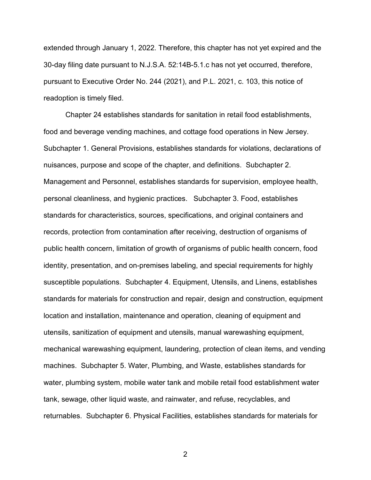extended through January 1, 2022. Therefore, this chapter has not yet expired and the 30-day filing date pursuant to N.J.S.A. 52:14B-5.1.c has not yet occurred, therefore, pursuant to Executive Order No. 244 (2021), and P.L. 2021, c. 103, this notice of readoption is timely filed.

Chapter 24 establishes standards for sanitation in retail food establishments, food and beverage vending machines, and cottage food operations in New Jersey. Subchapter 1. General Provisions, establishes standards for violations, declarations of nuisances, purpose and scope of the chapter, and definitions. Subchapter 2. Management and Personnel, establishes standards for supervision, employee health, personal cleanliness, and hygienic practices. Subchapter 3. Food, establishes standards for characteristics, sources, specifications, and original containers and records, protection from contamination after receiving, destruction of organisms of public health concern, limitation of growth of organisms of public health concern, food identity, presentation, and on-premises labeling, and special requirements for highly susceptible populations. Subchapter 4. Equipment, Utensils, and Linens, establishes standards for materials for construction and repair, design and construction, equipment location and installation, maintenance and operation, cleaning of equipment and utensils, sanitization of equipment and utensils, manual warewashing equipment, mechanical warewashing equipment, laundering, protection of clean items, and vending machines. Subchapter 5. Water, Plumbing, and Waste, establishes standards for water, plumbing system, mobile water tank and mobile retail food establishment water tank, sewage, other liquid waste, and rainwater, and refuse, recyclables, and returnables. Subchapter 6. Physical Facilities, establishes standards for materials for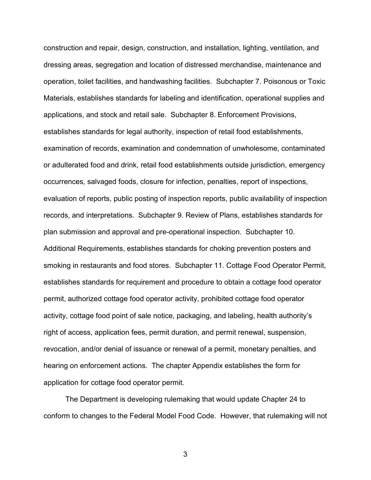construction and repair, design, construction, and installation, lighting, ventilation, and dressing areas, segregation and location of distressed merchandise, maintenance and operation, toilet facilities, and handwashing facilities. Subchapter 7. Poisonous or Toxic Materials, establishes standards for labeling and identification, operational supplies and applications, and stock and retail sale. Subchapter 8. Enforcement Provisions, establishes standards for legal authority, inspection of retail food establishments, examination of records, examination and condemnation of unwholesome, contaminated or adulterated food and drink, retail food establishments outside jurisdiction, emergency occurrences, salvaged foods, closure for infection, penalties, report of inspections, evaluation of reports, public posting of inspection reports, public availability of inspection records, and interpretations. Subchapter 9. Review of Plans, establishes standards for plan submission and approval and pre-operational inspection. Subchapter 10. Additional Requirements, establishes standards for choking prevention posters and smoking in restaurants and food stores. Subchapter 11. Cottage Food Operator Permit, establishes standards for requirement and procedure to obtain a cottage food operator permit, authorized cottage food operator activity, prohibited cottage food operator activity, cottage food point of sale notice, packaging, and labeling, health authority's right of access, application fees, permit duration, and permit renewal, suspension, revocation, and/or denial of issuance or renewal of a permit, monetary penalties, and hearing on enforcement actions. The chapter Appendix establishes the form for application for cottage food operator permit.

The Department is developing rulemaking that would update Chapter 24 to conform to changes to the Federal Model Food Code. However, that rulemaking will not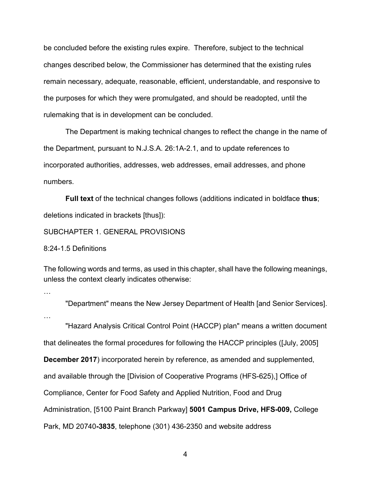be concluded before the existing rules expire. Therefore, subject to the technical changes described below, the Commissioner has determined that the existing rules remain necessary, adequate, reasonable, efficient, understandable, and responsive to the purposes for which they were promulgated, and should be readopted, until the rulemaking that is in development can be concluded.

The Department is making technical changes to reflect the change in the name of the Department, pursuant to N.J.S.A. 26:1A-2.1, and to update references to incorporated authorities, addresses, web addresses, email addresses, and phone numbers.

**Full text** of the technical changes follows (additions indicated in boldface **thus**; deletions indicated in brackets [thus]):

#### SUBCHAPTER 1. GENERAL PROVISIONS

8:24-1.5 Definitions

The following words and terms, as used in this chapter, shall have the following meanings, unless the context clearly indicates otherwise:

…

"Department" means the New Jersey Department of Health [and Senior Services].

…

"Hazard Analysis Critical Control Point (HACCP) plan" means a written document that delineates the formal procedures for following the HACCP principles ([July, 2005] **December 2017**) incorporated herein by reference, as amended and supplemented, and available through the [Division of Cooperative Programs (HFS-625),] Office of Compliance, Center for Food Safety and Applied Nutrition, Food and Drug Administration, [5100 Paint Branch Parkway] **5001 Campus Drive, HFS-009,** College Park, MD 20740**-3835**, telephone (301) 436-2350 and website address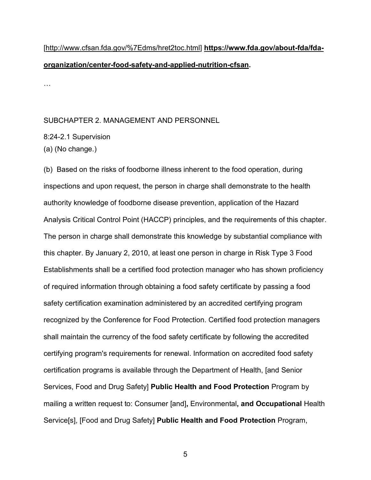# [http://www.cfsan.fda.gov/%7Edms/hret2toc.html] **https://www.fda.gov/about-fda/fdaorganization/center-food-safety-and-applied-nutrition-cfsan.**

…

## SUBCHAPTER 2. MANAGEMENT AND PERSONNEL

8:24-2.1 Supervision

(a) (No change.)

(b)Based on the risks of foodborne illness inherent to the food operation, during inspections and upon request, the person in charge shall demonstrate to the health authority knowledge of foodborne disease prevention, application of the Hazard Analysis Critical Control Point (HACCP) principles, and the requirements of this chapter. The person in charge shall demonstrate this knowledge by substantial compliance with this chapter. By January 2, 2010, at least one person in charge in Risk Type 3 Food Establishments shall be a certified food protection manager who has shown proficiency of required information through obtaining a food safety certificate by passing a food safety certification examination administered by an accredited certifying program recognized by the Conference for Food Protection. Certified food protection managers shall maintain the currency of the food safety certificate by following the accredited certifying program's requirements for renewal. Information on accredited food safety certification programs is available through the Department of Health, [and Senior Services, Food and Drug Safety] **Public Health and Food Protection** Program by mailing a written request to: Consumer [and]**,** Environmental**, and Occupational** Health Service[s], [Food and Drug Safety] **Public Health and Food Protection** Program,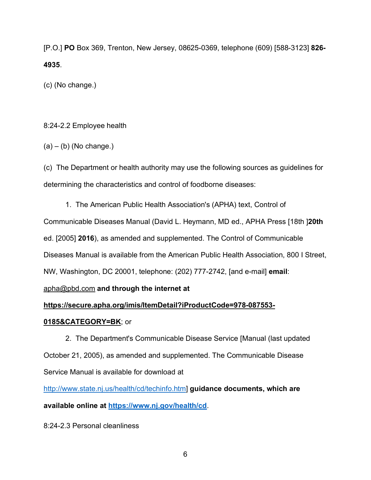[P.O.] **PO** Box 369, Trenton, New Jersey, 08625-0369, telephone (609) [588-3123] **826- 4935**.

(c) (No change.)

# 8:24-2.2 Employee health

 $(a) - (b)$  (No change.)

(c)The Department or health authority may use the following sources as guidelines for determining the characteristics and control of foodborne diseases:

1.The American Public Health Association's (APHA) text, Control of Communicable Diseases Manual (David L. Heymann, MD ed., APHA Press [18th ]**20th** ed. [2005] **2016**), as amended and supplemented. The Control of Communicable Diseases Manual is available from the American Public Health Association, 800 I Street, NW, Washington, DC 20001, telephone: (202) 777-2742, [and e-mail] **email**:

# apha@pbd.com **and through the internet at**

# **https://secure.apha.org/imis/ItemDetail?iProductCode=978-087553-**

# **0185&CATEGORY=BK**; or

2.The Department's Communicable Disease Service [Manual (last updated October 21, 2005), as amended and supplemented. The Communicable Disease Service Manual is available for download at

[http://www.state.nj.us/health/cd/techinfo.htm\]](http://www.state.nj.us/health/cd/techinfo.htm) **guidance documents, which are available online at<https://www.nj.gov/health/cd>**.

8:24-2.3 Personal cleanliness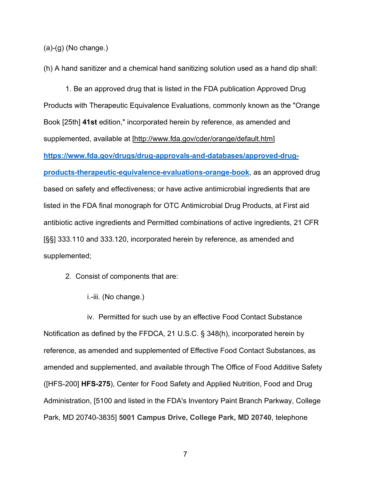(a)-(g) (No change.)

(h) A hand sanitizer and a chemical hand sanitizing solution used as a hand dip shall:

1. Be an approved drug that is listed in the FDA publication Approved Drug Products with Therapeutic Equivalence Evaluations, commonly known as the "Orange Book [25th] **41st** edition," incorporated herein by reference, as amended and supplemented, available at [http://www.fda.gov/cder/orange/default.htm] **[https://www.fda.gov/drugs/drug-approvals-and-databases/approved-drug](https://www.fda.gov/drugs/drug-approvals-and-databases/approved-drug-products-therapeutic-equivalence-evaluations-orange-book)[products-therapeutic-equivalence-evaluations-orange-book](https://www.fda.gov/drugs/drug-approvals-and-databases/approved-drug-products-therapeutic-equivalence-evaluations-orange-book)**, as an approved drug based on safety and effectiveness; or have active antimicrobial ingredients that are listed in the FDA final monograph for OTC Antimicrobial Drug Products, at First aid antibiotic active ingredients and Permitted combinations of active ingredients, 21 CFR [§§] 333.110 and 333.120, incorporated herein by reference, as amended and supplemented;

- 2.Consist of components that are:
	- i.-iii. (No change.)

iv.Permitted for such use by an effective Food Contact Substance Notification as defined by the FFDCA, 21 U.S.C. § 348(h), incorporated herein by reference, as amended and supplemented of Effective Food Contact Substances, as amended and supplemented, and available through The Office of Food Additive Safety ([HFS-200] **HFS-275**), Center for Food Safety and Applied Nutrition, Food and Drug Administration, [5100 and listed in the FDA's Inventory Paint Branch Parkway, College Park, MD 20740-3835] **5001 Campus Drive, College Park, MD 20740**, telephone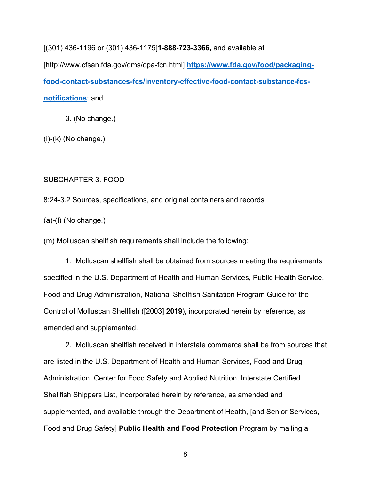[(301) 436-1196 or (301) 436-1175]**1-888-723-3366,** and available at

[http://www.cfsan.fda.gov/dms/opa-fcn.html] **[https://www.fda.gov/food/packaging](https://urldefense.com/v3/__https:/www.fda.gov/food/packaging-food-contact-substances-fcs/inventory-effective-food-contact-substance-fcs-notifications__;!!J30X0ZrnC1oQtbA!dHOwUMTB24iMFsJsCT1D2_0MCAF9mcJYBu1pZ97ckQ40XIZkIT8pknNCxCo9E7qcUTy2wA$)[food-contact-substances-fcs/inventory-effective-food-contact-substance-fcs](https://urldefense.com/v3/__https:/www.fda.gov/food/packaging-food-contact-substances-fcs/inventory-effective-food-contact-substance-fcs-notifications__;!!J30X0ZrnC1oQtbA!dHOwUMTB24iMFsJsCT1D2_0MCAF9mcJYBu1pZ97ckQ40XIZkIT8pknNCxCo9E7qcUTy2wA$)[notifications](https://urldefense.com/v3/__https:/www.fda.gov/food/packaging-food-contact-substances-fcs/inventory-effective-food-contact-substance-fcs-notifications__;!!J30X0ZrnC1oQtbA!dHOwUMTB24iMFsJsCT1D2_0MCAF9mcJYBu1pZ97ckQ40XIZkIT8pknNCxCo9E7qcUTy2wA$)**; and

3. (No change.)

 $(i)-(k)$  (No change.)

SUBCHAPTER 3. FOOD

8:24-3.2 Sources, specifications, and original containers and records

(a)-(l) (No change.)

(m) Molluscan shellfish requirements shall include the following:

1.Molluscan shellfish shall be obtained from sources meeting the requirements specified in the U.S. Department of Health and Human Services, Public Health Service, Food and Drug Administration, National Shellfish Sanitation Program Guide for the Control of Molluscan Shellfish ([2003] **2019**), incorporated herein by reference, as amended and supplemented.

2.Molluscan shellfish received in interstate commerce shall be from sources that are listed in the U.S. Department of Health and Human Services, Food and Drug Administration, Center for Food Safety and Applied Nutrition, Interstate Certified Shellfish Shippers List, incorporated herein by reference, as amended and supplemented, and available through the Department of Health, [and Senior Services, Food and Drug Safety] **Public Health and Food Protection** Program by mailing a